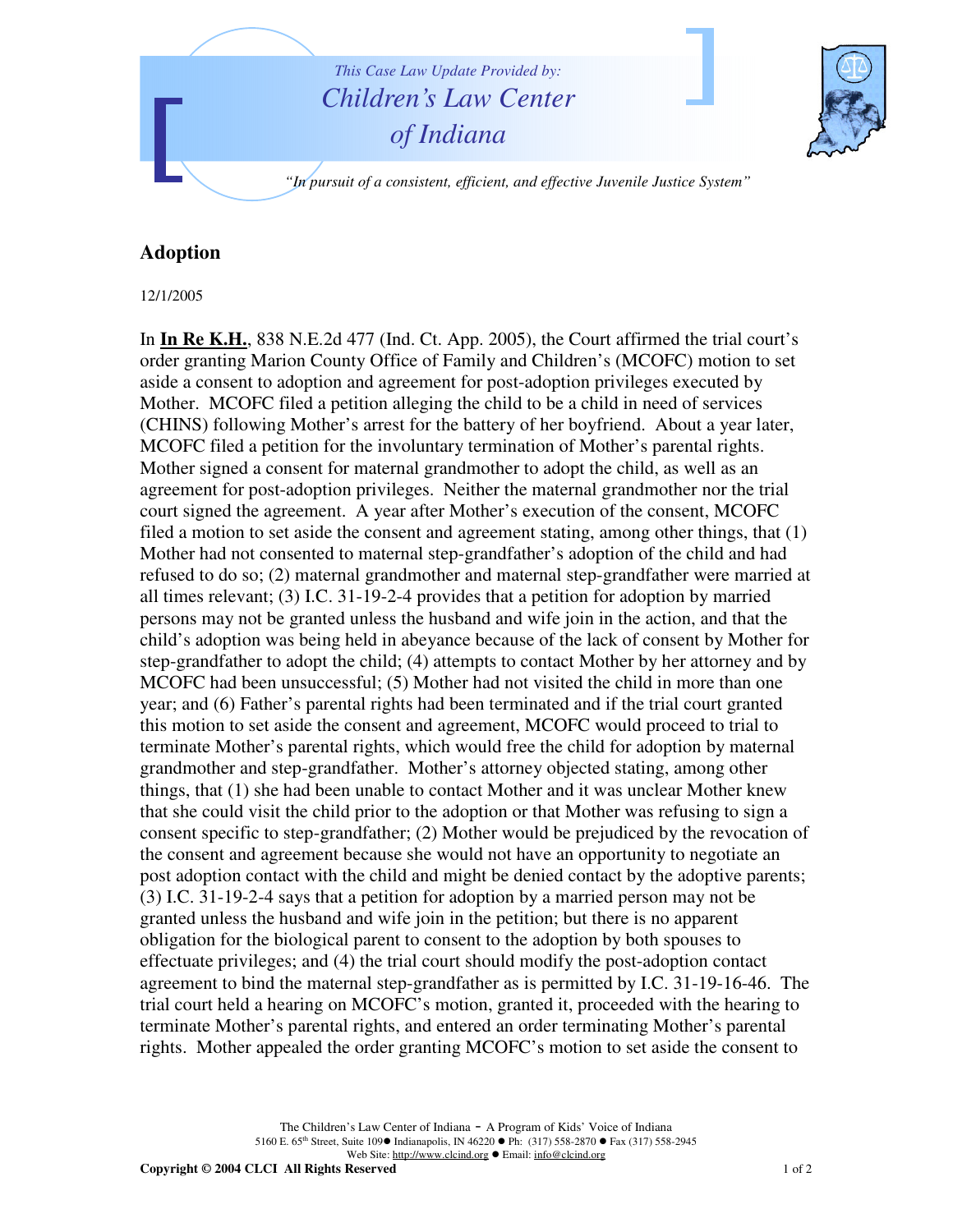

## **Adoption**

12/1/2005

In **In Re K.H.**, 838 N.E.2d 477 (Ind. Ct. App. 2005), the Court affirmed the trial court's order granting Marion County Office of Family and Children's (MCOFC) motion to set aside a consent to adoption and agreement for post-adoption privileges executed by Mother. MCOFC filed a petition alleging the child to be a child in need of services (CHINS) following Mother's arrest for the battery of her boyfriend. About a year later, MCOFC filed a petition for the involuntary termination of Mother's parental rights. Mother signed a consent for maternal grandmother to adopt the child, as well as an agreement for post-adoption privileges. Neither the maternal grandmother nor the trial court signed the agreement. A year after Mother's execution of the consent, MCOFC filed a motion to set aside the consent and agreement stating, among other things, that (1) Mother had not consented to maternal step-grandfather's adoption of the child and had refused to do so; (2) maternal grandmother and maternal step-grandfather were married at all times relevant; (3) I.C. 31-19-2-4 provides that a petition for adoption by married persons may not be granted unless the husband and wife join in the action, and that the child's adoption was being held in abeyance because of the lack of consent by Mother for step-grandfather to adopt the child; (4) attempts to contact Mother by her attorney and by MCOFC had been unsuccessful; (5) Mother had not visited the child in more than one year; and (6) Father's parental rights had been terminated and if the trial court granted this motion to set aside the consent and agreement, MCOFC would proceed to trial to terminate Mother's parental rights, which would free the child for adoption by maternal grandmother and step-grandfather. Mother's attorney objected stating, among other things, that (1) she had been unable to contact Mother and it was unclear Mother knew that she could visit the child prior to the adoption or that Mother was refusing to sign a consent specific to step-grandfather; (2) Mother would be prejudiced by the revocation of the consent and agreement because she would not have an opportunity to negotiate an post adoption contact with the child and might be denied contact by the adoptive parents; (3) I.C. 31-19-2-4 says that a petition for adoption by a married person may not be granted unless the husband and wife join in the petition; but there is no apparent obligation for the biological parent to consent to the adoption by both spouses to effectuate privileges; and (4) the trial court should modify the post-adoption contact agreement to bind the maternal step-grandfather as is permitted by I.C. 31-19-16-46. The trial court held a hearing on MCOFC's motion, granted it, proceeded with the hearing to terminate Mother's parental rights, and entered an order terminating Mother's parental rights. Mother appealed the order granting MCOFC's motion to set aside the consent to